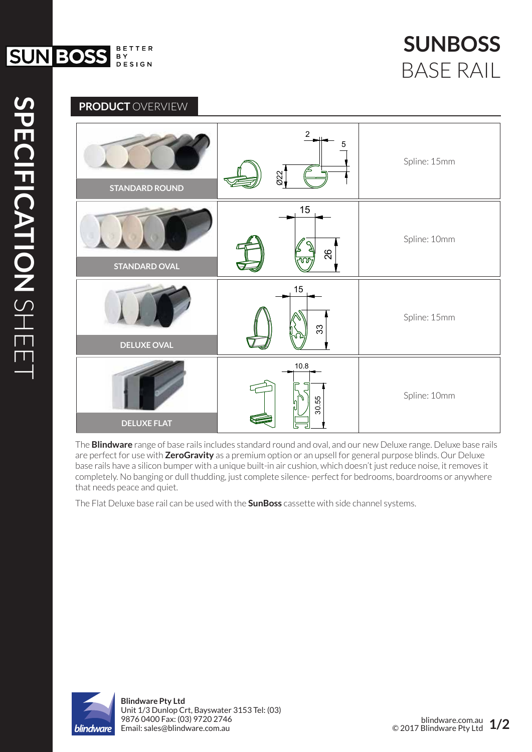



The **Blindware** range of base rails includes standard round and oval, and our new Deluxe range. Deluxe base rails are perfect for use with **ZeroGravity** as a premium option or an upsell for general purpose blinds. Our Deluxe base rails have a silicon bumper with a unique built-in air cushion, which doesn't just reduce noise, it removes it completely. No banging or dull thudding, just complete silence- perfect for bedrooms, boardrooms or anywhere that needs peace and quiet.

The Flat Deluxe base rail can be used with the **SunBoss** cassette with side channel systems.